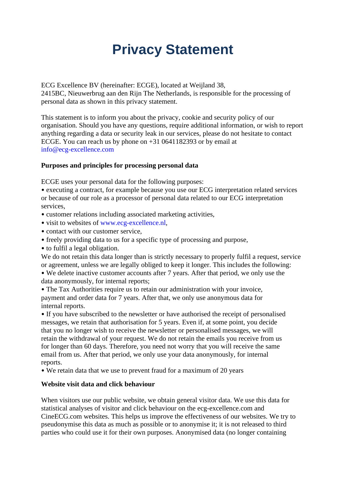# **Privacy Statement**

ECG Excellence BV (hereinafter: ECGE), located at Weijland 38, 2415BC, Nieuwerbrug aan den Rijn The Netherlands, is responsible for the processing of personal data as shown in this privacy statement.

This statement is to inform you about the privacy, cookie and security policy of our organisation. Should you have any questions, require additional information, or wish to report anything regarding a data or security leak in our services, please do not hesitate to contact ECGE. You can reach us by phone on +31 0641182393 or by email at info@ecg-excellence.com

## **Purposes and principles for processing personal data**

ECGE uses your personal data for the following purposes:

• executing a contract, for example because you use our ECG interpretation related services or because of our role as a processor of personal data related to our ECG interpretation services,

- customer relations including associated marketing activities,
- visit to websites of www.ecg-excellence.nl,
- contact with our customer service.
- freely providing data to us for a specific type of processing and purpose,
- to fulfil a legal obligation.

We do not retain this data longer than is strictly necessary to properly fulfil a request, service or agreement, unless we are legally obliged to keep it longer. This includes the following:

• We delete inactive customer accounts after 7 years. After that period, we only use the data anonymously, for internal reports;

• The Tax Authorities require us to retain our administration with your invoice, payment and order data for 7 years. After that, we only use anonymous data for internal reports.

• If you have subscribed to the newsletter or have authorised the receipt of personalised messages, we retain that authorisation for 5 years. Even if, at some point, you decide that you no longer wish to receive the newsletter or personalised messages, we will retain the withdrawal of your request. We do not retain the emails you receive from us for longer than 60 days. Therefore, you need not worry that you will receive the same email from us. After that period, we only use your data anonymously, for internal reports.

• We retain data that we use to prevent fraud for a maximum of 20 years

## **Website visit data and click behaviour**

When visitors use our public website, we obtain general visitor data. We use this data for statistical analyses of visitor and click behaviour on the ecg-excellence.com and CineECG.com websites. This helps us improve the effectiveness of our websites. We try to pseudonymise this data as much as possible or to anonymise it; it is not released to third parties who could use it for their own purposes. Anonymised data (no longer containing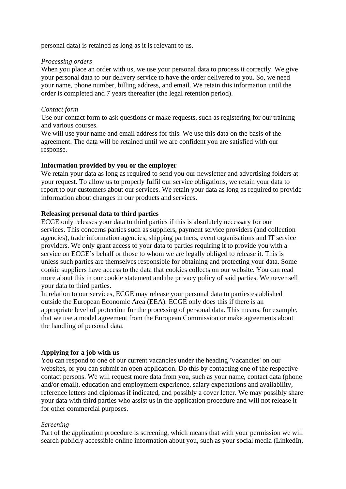personal data) is retained as long as it is relevant to us.

#### *Processing orders*

When you place an order with us, we use your personal data to process it correctly. We give your personal data to our delivery service to have the order delivered to you. So, we need your name, phone number, billing address, and email. We retain this information until the order is completed and 7 years thereafter (the legal retention period).

#### *Contact form*

Use our contact form to ask questions or make requests, such as registering for our training and various courses.

We will use your name and email address for this. We use this data on the basis of the agreement. The data will be retained until we are confident you are satisfied with our response.

#### **Information provided by you or the employer**

We retain your data as long as required to send you our newsletter and advertising folders at your request. To allow us to properly fulfil our service obligations, we retain your data to report to our customers about our services. We retain your data as long as required to provide information about changes in our products and services.

#### **Releasing personal data to third parties**

ECGE only releases your data to third parties if this is absolutely necessary for our services. This concerns parties such as suppliers, payment service providers (and collection agencies), trade information agencies, shipping partners, event organisations and IT service providers. We only grant access to your data to parties requiring it to provide you with a service on ECGE's behalf or those to whom we are legally obliged to release it. This is unless such parties are themselves responsible for obtaining and protecting your data. Some cookie suppliers have access to the data that cookies collects on our website. You can read more about this in our cookie statement and the privacy policy of said parties. We never sell your data to third parties.

In relation to our services, ECGE may release your personal data to parties established outside the European Economic Area (EEA). ECGE only does this if there is an appropriate level of protection for the processing of personal data. This means, for example, that we use a model agreement from the European Commission or make agreements about the handling of personal data.

#### **Applying for a job with us**

You can respond to one of our current vacancies under the heading 'Vacancies' on our websites, or you can submit an open application. Do this by contacting one of the respective contact persons. We will request more data from you, such as your name, contact data (phone and/or email), education and employment experience, salary expectations and availability, reference letters and diplomas if indicated, and possibly a cover letter. We may possibly share your data with third parties who assist us in the application procedure and will not release it for other commercial purposes.

#### *Screening*

Part of the application procedure is screening, which means that with your permission we will search publicly accessible online information about you, such as your social media (LinkedIn,